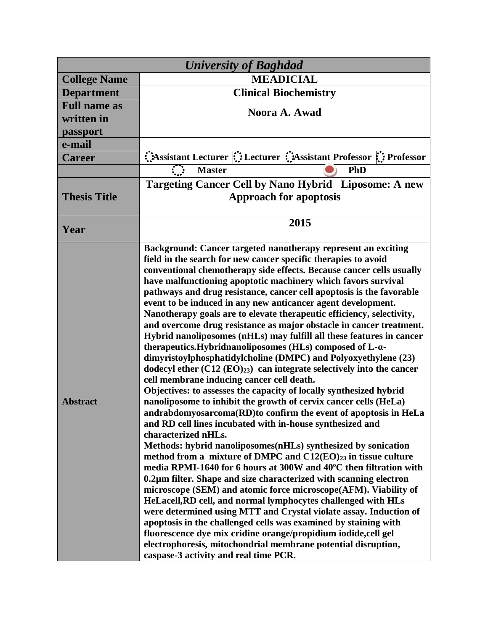| <b>University of Baghdad</b> |                                                                                                                                                                                                                                                                                                                                                                                                                                                                                                                                                                                                                                                                                                                                                                                                                                                                                                                                                                                                                                                                                                                                                                                                                                                                                                                                                                                                                                                                                                                                                                                                                                                                                                                                                                                                                                                                                                                                            |  |  |  |
|------------------------------|--------------------------------------------------------------------------------------------------------------------------------------------------------------------------------------------------------------------------------------------------------------------------------------------------------------------------------------------------------------------------------------------------------------------------------------------------------------------------------------------------------------------------------------------------------------------------------------------------------------------------------------------------------------------------------------------------------------------------------------------------------------------------------------------------------------------------------------------------------------------------------------------------------------------------------------------------------------------------------------------------------------------------------------------------------------------------------------------------------------------------------------------------------------------------------------------------------------------------------------------------------------------------------------------------------------------------------------------------------------------------------------------------------------------------------------------------------------------------------------------------------------------------------------------------------------------------------------------------------------------------------------------------------------------------------------------------------------------------------------------------------------------------------------------------------------------------------------------------------------------------------------------------------------------------------------------|--|--|--|
| <b>College Name</b>          | <b>MEADICIAL</b>                                                                                                                                                                                                                                                                                                                                                                                                                                                                                                                                                                                                                                                                                                                                                                                                                                                                                                                                                                                                                                                                                                                                                                                                                                                                                                                                                                                                                                                                                                                                                                                                                                                                                                                                                                                                                                                                                                                           |  |  |  |
| <b>Department</b>            | <b>Clinical Biochemistry</b>                                                                                                                                                                                                                                                                                                                                                                                                                                                                                                                                                                                                                                                                                                                                                                                                                                                                                                                                                                                                                                                                                                                                                                                                                                                                                                                                                                                                                                                                                                                                                                                                                                                                                                                                                                                                                                                                                                               |  |  |  |
| <b>Full name as</b>          |                                                                                                                                                                                                                                                                                                                                                                                                                                                                                                                                                                                                                                                                                                                                                                                                                                                                                                                                                                                                                                                                                                                                                                                                                                                                                                                                                                                                                                                                                                                                                                                                                                                                                                                                                                                                                                                                                                                                            |  |  |  |
| written in                   | Noora A. Awad                                                                                                                                                                                                                                                                                                                                                                                                                                                                                                                                                                                                                                                                                                                                                                                                                                                                                                                                                                                                                                                                                                                                                                                                                                                                                                                                                                                                                                                                                                                                                                                                                                                                                                                                                                                                                                                                                                                              |  |  |  |
| passport                     |                                                                                                                                                                                                                                                                                                                                                                                                                                                                                                                                                                                                                                                                                                                                                                                                                                                                                                                                                                                                                                                                                                                                                                                                                                                                                                                                                                                                                                                                                                                                                                                                                                                                                                                                                                                                                                                                                                                                            |  |  |  |
| e-mail                       |                                                                                                                                                                                                                                                                                                                                                                                                                                                                                                                                                                                                                                                                                                                                                                                                                                                                                                                                                                                                                                                                                                                                                                                                                                                                                                                                                                                                                                                                                                                                                                                                                                                                                                                                                                                                                                                                                                                                            |  |  |  |
| <b>Career</b>                | Assistant Lecturer : Lecturer : Assistant Professor : Professor                                                                                                                                                                                                                                                                                                                                                                                                                                                                                                                                                                                                                                                                                                                                                                                                                                                                                                                                                                                                                                                                                                                                                                                                                                                                                                                                                                                                                                                                                                                                                                                                                                                                                                                                                                                                                                                                            |  |  |  |
|                              | <b>Master</b><br>PhD                                                                                                                                                                                                                                                                                                                                                                                                                                                                                                                                                                                                                                                                                                                                                                                                                                                                                                                                                                                                                                                                                                                                                                                                                                                                                                                                                                                                                                                                                                                                                                                                                                                                                                                                                                                                                                                                                                                       |  |  |  |
| <b>Thesis Title</b>          | <b>Targeting Cancer Cell by Nano Hybrid Liposome: A new</b><br><b>Approach for apoptosis</b>                                                                                                                                                                                                                                                                                                                                                                                                                                                                                                                                                                                                                                                                                                                                                                                                                                                                                                                                                                                                                                                                                                                                                                                                                                                                                                                                                                                                                                                                                                                                                                                                                                                                                                                                                                                                                                               |  |  |  |
| Year                         | 2015                                                                                                                                                                                                                                                                                                                                                                                                                                                                                                                                                                                                                                                                                                                                                                                                                                                                                                                                                                                                                                                                                                                                                                                                                                                                                                                                                                                                                                                                                                                                                                                                                                                                                                                                                                                                                                                                                                                                       |  |  |  |
| <b>Abstract</b>              | Background: Cancer targeted nanotherapy represent an exciting<br>field in the search for new cancer specific therapies to avoid<br>conventional chemotherapy side effects. Because cancer cells usually<br>have malfunctioning apoptotic machinery which favors survival<br>pathways and drug resistance, cancer cell apoptosis is the favorable<br>event to be induced in any new anticancer agent development.<br>Nanotherapy goals are to elevate therapeutic efficiency, selectivity,<br>and overcome drug resistance as major obstacle in cancer treatment.<br>Hybrid nanoliposomes (nHLs) may fulfill all these features in cancer<br>therapeutics.Hybridnanoliposomes (HLs) composed of L-a-<br>dimyristoylphosphatidylcholine (DMPC) and Polyoxyethylene (23)<br>dodecyl ether $(C12 (EO)_{23})$ can integrate selectively into the cancer<br>cell membrane inducing cancer cell death.<br>Objectives: to assesses the capacity of locally synthesized hybrid<br>nanoliposome to inhibit the growth of cervix cancer cells (HeLa)<br>andrabdomyosarcoma(RD)to confirm the event of apoptosis in HeLa<br>and RD cell lines incubated with in-house synthesized and<br>characterized nHLs.<br>Methods: hybrid nanoliposomes(nHLs) synthesized by sonication<br>method from a mixture of DMPC and $C12(EO)_{23}$ in tissue culture<br>media RPMI-1640 for 6 hours at 300W and 40°C then filtration with<br>0.2µm filter. Shape and size characterized with scanning electron<br>microscope (SEM) and atomic force microscope (AFM). Viability of<br>HeLacell, RD cell, and normal lymphocytes challenged with HLs<br>were determined using MTT and Crystal violate assay. Induction of<br>apoptosis in the challenged cells was examined by staining with<br>fluorescence dye mix cridine orange/propidium iodide, cell gel<br>electrophoresis, mitochondrial membrane potential disruption,<br>caspase-3 activity and real time PCR. |  |  |  |